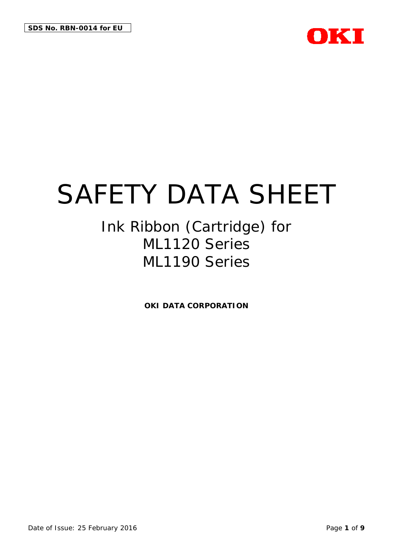

# Ink Ribbon (Cartridge) for ML1120 Series ML1190 Series

**OKI DATA CORPORATION**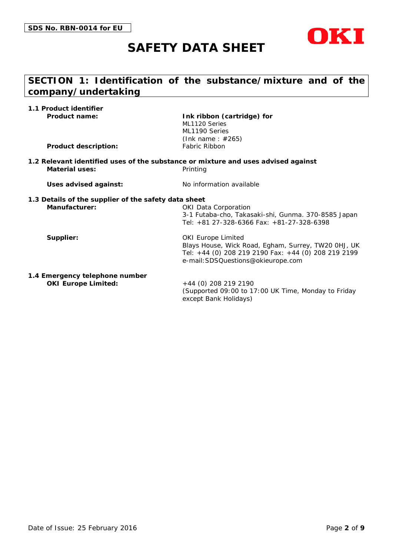

# **SECTION 1: Identification of the substance/mixture and of the company/undertaking**

| 1.1 Product identifier                                       |                                                                                                                                                                               |
|--------------------------------------------------------------|-------------------------------------------------------------------------------------------------------------------------------------------------------------------------------|
| <b>Product name:</b>                                         | Ink ribbon (cartridge) for<br>ML1120 Series<br>ML1190 Series<br>(Ink name: $\#265$ )                                                                                          |
| <b>Product description:</b>                                  | Fabric Ribbon                                                                                                                                                                 |
| Material uses:                                               | 1.2 Relevant identified uses of the substance or mixture and uses advised against<br>Printing                                                                                 |
| Uses advised against:                                        | No information available                                                                                                                                                      |
| 1.3 Details of the supplier of the safety data sheet         |                                                                                                                                                                               |
| Manufacturer:                                                | <b>OKI Data Corporation</b><br>3-1 Futaba-cho, Takasaki-shi, Gunma. 370-8585 Japan<br>Tel: +81 27-328-6366 Fax: +81-27-328-6398                                               |
| Supplier:                                                    | <b>OKI Europe Limited</b><br>Blays House, Wick Road, Egham, Surrey, TW20 OHJ, UK<br>Tel: +44 (0) 208 219 2190 Fax: +44 (0) 208 219 2199<br>e-mail: SDSQuestions@okieurope.com |
| 1.4 Emergency telephone number<br><b>OKI Europe Limited:</b> | +44 (0) 208 219 2190<br>(Supported 09:00 to 17:00 UK Time, Monday to Friday                                                                                                   |

except Bank Holidays)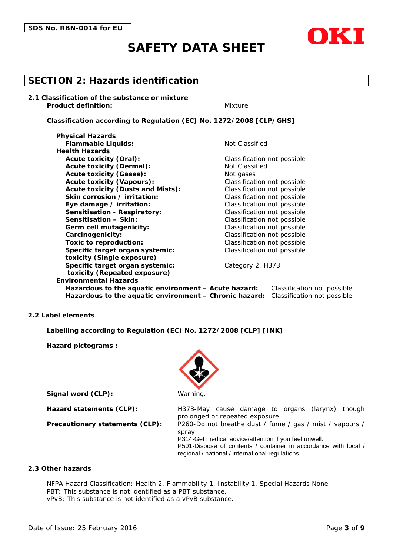

# **SECTION 2: Hazards identification**

**2.1 Classification of the substance or mixture Product definition:** Mixture

#### **Classification according to Regulation (EC) No. 1272/2008 [CLP/GHS]**

**Physical Hazards Flammable Liquids:** Not Classified **Health Hazards Acute toxicity (Oral):** Classification not possible Acute toxicity (Dermal): Not Classified Acute toxicity (Gases): Not gases **Acute toxicity (Vapours):** Classification not possible **Acute toxicity (Dusts and Mists):** Classification not possible **Skin corrosion / irritation:** Classification not possible **Eye damage / irritation:** Classification not possible **Sensitisation - Respiratory:** Classification not possible **Sensitisation – Skin:** Classification not possible **Germ cell mutagenicity:** Classification not possible **Carcinogenicity:** Classification not possible **Toxic to reproduction:** Classification not possible **Specific target organ systemic:** Classification not possible **toxicity (Single exposure) Specific target organ systemic:** Category 2, H373 **toxicity (Repeated exposure) Environmental Hazards**

**Hazardous to the aquatic environment – Acute hazard:** Classification not possible **Hazardous to the aquatic environment – Chronic hazard:** Classification not possible

#### **2.2 Label elements**

**Labelling according to Regulation (EC) No. 1272/2008 [CLP] [INK]**

**Hazard pictograms :**



**Signal word (CLP):** Warning

**Hazard statements (CLP):** H373-May cause damage to organs (larynx) though prolonged or repeated exposure.

**Precautionary statements (CLP):** P260-Do not breathe dust / fume / gas / mist / vapours / spray.

P314-Get medical advice/attention if you feel unwell.

P501-Dispose of contents / container in accordance with local / regional / national / international regulations.

#### **2.3 Other hazards**

NFPA Hazard Classification: Health 2, Flammability 1, Instability 1, Special Hazards None PBT: This substance is not identified as a PBT substance. vPvB: This substance is not identified as a vPvB substance.

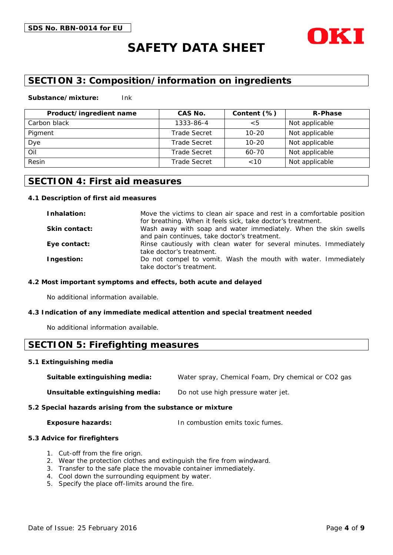

# **SECTION 3: Composition/information on ingredients**

#### **Substance/mixture:** Ink

| Product/ingredient name | CAS No.             | Content (%) | <b>R-Phase</b> |
|-------------------------|---------------------|-------------|----------------|
| Carbon black            | 1333-86-4           | $<$ 5       | Not applicable |
| Pigment                 | <b>Trade Secret</b> | $10 - 20$   | Not applicable |
| Dye                     | <b>Trade Secret</b> | $10 - 20$   | Not applicable |
| Oil                     | <b>Trade Secret</b> | 60-70       | Not applicable |
| Resin                   | <b>Trade Secret</b> | ~10         | Not applicable |

### **SECTION 4: First aid measures**

#### **4.1 Description of first aid measures**

| Inhalation:          | Move the victims to clean air space and rest in a comfortable position                                          |
|----------------------|-----------------------------------------------------------------------------------------------------------------|
|                      | for breathing. When it feels sick, take doctor's treatment.                                                     |
| <b>Skin contact:</b> | Wash away with soap and water immediately. When the skin swells<br>and pain continues, take doctor's treatment. |
| Eye contact:         | Rinse cautiously with clean water for several minutes. Immediately<br>take doctor's treatment.                  |
| Ingestion:           | Do not compel to vomit. Wash the mouth with water. Immediately<br>take doctor's treatment.                      |

#### **4.2 Most important symptoms and effects, both acute and delayed**

No additional information available.

#### **4.3 Indication of any immediate medical attention and special treatment needed**

No additional information available.

### **SECTION 5: Firefighting measures**

#### **5.1 Extinguishing media**

**Suitable extinguishing media:** Water spray, Chemical Foam, Dry chemical or CO2 gas

**Unsuitable extinguishing media:** Do not use high pressure water jet.

#### **5.2 Special hazards arising from the substance or mixture**

**Exposure hazards:** In combustion emits toxic fumes.

#### **5.3 Advice for firefighters**

- 1. Cut-off from the fire orign.
- 2. Wear the protection clothes and extinguish the fire from windward.
- 3. Transfer to the safe place the movable container immediately.
- 4. Cool down the surrounding equipment by water.
- 5. Specify the place off-limits around the fire.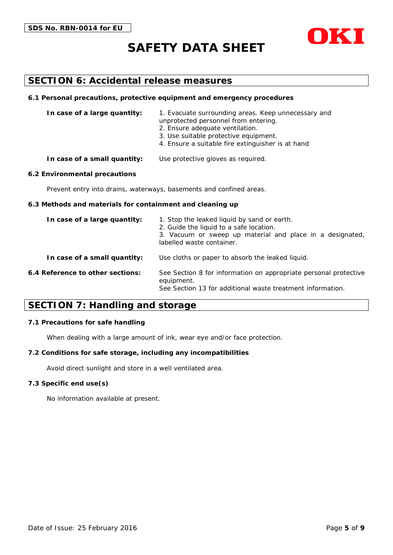

### **SECTION 6: Accidental release measures**

#### **6.1 Personal precautions, protective equipment and emergency procedures**

| In case of a large quantity: | 1. Evacuate surrounding areas. Keep unnecessary and<br>unprotected personnel from entering.<br>2. Ensure adequate ventilation.<br>3. Use suitable protective equipment.<br>4. Ensure a suitable fire extinguisher is at hand |
|------------------------------|------------------------------------------------------------------------------------------------------------------------------------------------------------------------------------------------------------------------------|
|                              |                                                                                                                                                                                                                              |

#### **In case of a small quantity:** Use protective gloves as required.

#### **6.2 Environmental precautions**

Prevent entry into drains, waterways, basements and confined areas.

#### **6.3 Methods and materials for containment and cleaning up**

| In case of a large quantity:     | 1. Stop the leaked liquid by sand or earth.<br>2. Guide the liquid to a safe location.<br>3. Vacuum or sweep up material and place in a designated,<br>labelled waste container. |
|----------------------------------|----------------------------------------------------------------------------------------------------------------------------------------------------------------------------------|
| In case of a small quantity:     | Use cloths or paper to absorb the leaked liquid.                                                                                                                                 |
| 6.4 Reference to other sections: | See Section 8 for information on appropriate personal protective<br>equipment.<br>See Section 13 for additional waste treatment information.                                     |

### **SECTION 7: Handling and storage**

#### **7.1 Precautions for safe handling**

When dealing with a large amount of ink, wear eye and/or face protection.

#### **7.2 Conditions for safe storage, including any incompatibilities**

Avoid direct sunlight and store in a well ventilated area.

#### **7.3 Specific end use(s)**

No information available at present.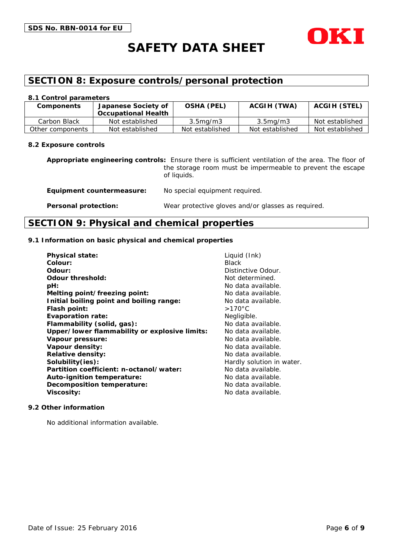

# **SECTION 8: Exposure controls/personal protection**

#### **8.1 Control parameters**

| <b>Components</b> | Japanese Society of<br><b>Occupational Health</b> | <b>OSHA (PEL)</b>     | <b>ACGIH (TWA)</b>    | <b>ACGIH (STEL)</b> |
|-------------------|---------------------------------------------------|-----------------------|-----------------------|---------------------|
| Carbon Black      | Not established                                   | 3.5 <sub>mq</sub> /m3 | 3.5 <sub>mq</sub> /m3 | Not established     |
| Other components  | Not established                                   | Not established       | Not established       | Not established     |

#### **8.2 Exposure controls**

**Appropriate engineering controls:** Ensure there is sufficient ventilation of the area. The floor of the storage room must be impermeable to prevent the escape of liquids.

**Equipment countermeasure:** No special equipment required. **Personal protection:** Wear protective gloves and/or glasses as required.

### **SECTION 9: Physical and chemical properties**

#### **9.1 Information on basic physical and chemical properties**

| <b>Physical state:</b>                        | Liquid (Ink)              |
|-----------------------------------------------|---------------------------|
| Colour:                                       | <b>Black</b>              |
| Odour:                                        | Distinctive Odour.        |
| <b>Odour threshold:</b>                       | Not determined.           |
| pH:                                           | No data available.        |
| Melting point/freezing point:                 | No data available.        |
| Initial boiling point and boiling range:      | No data available.        |
| Flash point:                                  | $>170^{\circ}$ C          |
| <b>Evaporation rate:</b>                      | Negligible.               |
| Flammability (solid, gas):                    | No data available.        |
| Upper/lower flammability or explosive limits: | No data available.        |
| Vapour pressure:                              | No data available.        |
| Vapour density:                               | No data available.        |
| <b>Relative density:</b>                      | No data available.        |
| Solubility(ies):                              | Hardly solution in water. |
| Partition coefficient: n-octanol/water:       | No data available.        |
| Auto-ignition temperature:                    | No data available.        |
| <b>Decomposition temperature:</b>             | No data available.        |
| Viscosity:                                    | No data available.        |

#### **9.2 Other information**

No additional information available.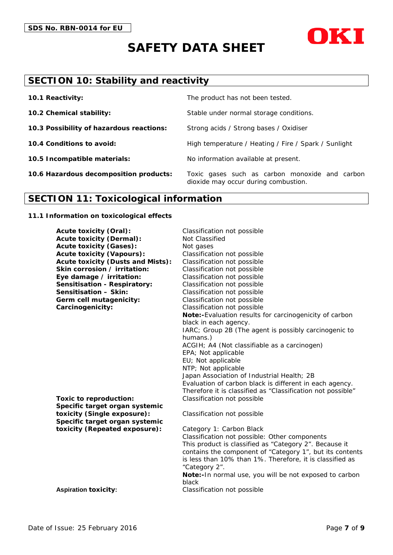



# **SECTION 10: Stability and reactivity**

| 10.1 Reactivity:                         | The product has not been tested.                                                       |
|------------------------------------------|----------------------------------------------------------------------------------------|
| 10.2 Chemical stability:                 | Stable under normal storage conditions.                                                |
| 10.3 Possibility of hazardous reactions: | Strong acids / Strong bases / Oxidiser                                                 |
| 10.4 Conditions to avoid:                | High temperature / Heating / Fire / Spark / Sunlight                                   |
| 10.5 Incompatible materials:             | No information available at present.                                                   |
| 10.6 Hazardous decomposition products:   | Toxic gases such as carbon monoxide and carbon<br>dioxide may occur during combustion. |

# **SECTION 11: Toxicological information**

#### **11.1 Information on toxicological effects**

| <b>Acute toxicity (Dermal):</b><br>Not Classified<br><b>Acute toxicity (Gases):</b><br>Not gases<br><b>Acute toxicity (Vapours):</b><br>Classification not possible<br><b>Acute toxicity (Dusts and Mists):</b><br>Classification not possible<br>Skin corrosion / irritation:<br>Classification not possible<br>Classification not possible<br>Eye damage / irritation:<br><b>Sensitisation - Respiratory:</b><br>Classification not possible<br>Sensitisation - Skin:<br>Classification not possible<br>Germ cell mutagenicity:<br>Classification not possible<br>Carcinogenicity:<br>Classification not possible<br>Note:-Evaluation results for carcinogenicity of carbon<br>black in each agency.<br>IARC; Group 2B (The agent is possibly carcinogenic to<br>humans.)<br>ACGIH; A4 (Not classifiable as a carcinogen)<br>EPA; Not applicable<br>EU; Not applicable<br>NTP; Not applicable<br>Japan Association of Industrial Health; 2B<br>Evaluation of carbon black is different in each agency.<br>Therefore it is classified as "Classification not possible"<br>Classification not possible<br>Toxic to reproduction:<br>Specific target organ systemic<br>toxicity (Single exposure):<br>Classification not possible<br>Specific target organ systemic<br>toxicity (Repeated exposure):<br>Category 1: Carbon Black<br>Classification not possible: Other components<br>This product is classified as "Category 2". Because it<br>contains the component of "Category 1", but its contents<br>is less than 10% than 1%. Therefore, it is classified as<br>"Category 2".<br>Note:-In normal use, you will be not exposed to carbon<br>black<br>Classification not possible<br><b>Aspiration toxicity:</b> | <b>Acute toxicity (Oral):</b> | Classification not possible |
|----------------------------------------------------------------------------------------------------------------------------------------------------------------------------------------------------------------------------------------------------------------------------------------------------------------------------------------------------------------------------------------------------------------------------------------------------------------------------------------------------------------------------------------------------------------------------------------------------------------------------------------------------------------------------------------------------------------------------------------------------------------------------------------------------------------------------------------------------------------------------------------------------------------------------------------------------------------------------------------------------------------------------------------------------------------------------------------------------------------------------------------------------------------------------------------------------------------------------------------------------------------------------------------------------------------------------------------------------------------------------------------------------------------------------------------------------------------------------------------------------------------------------------------------------------------------------------------------------------------------------------------------------------------------------------------------------------------------|-------------------------------|-----------------------------|
|                                                                                                                                                                                                                                                                                                                                                                                                                                                                                                                                                                                                                                                                                                                                                                                                                                                                                                                                                                                                                                                                                                                                                                                                                                                                                                                                                                                                                                                                                                                                                                                                                                                                                                                      |                               |                             |
|                                                                                                                                                                                                                                                                                                                                                                                                                                                                                                                                                                                                                                                                                                                                                                                                                                                                                                                                                                                                                                                                                                                                                                                                                                                                                                                                                                                                                                                                                                                                                                                                                                                                                                                      |                               |                             |
|                                                                                                                                                                                                                                                                                                                                                                                                                                                                                                                                                                                                                                                                                                                                                                                                                                                                                                                                                                                                                                                                                                                                                                                                                                                                                                                                                                                                                                                                                                                                                                                                                                                                                                                      |                               |                             |
|                                                                                                                                                                                                                                                                                                                                                                                                                                                                                                                                                                                                                                                                                                                                                                                                                                                                                                                                                                                                                                                                                                                                                                                                                                                                                                                                                                                                                                                                                                                                                                                                                                                                                                                      |                               |                             |
|                                                                                                                                                                                                                                                                                                                                                                                                                                                                                                                                                                                                                                                                                                                                                                                                                                                                                                                                                                                                                                                                                                                                                                                                                                                                                                                                                                                                                                                                                                                                                                                                                                                                                                                      |                               |                             |
|                                                                                                                                                                                                                                                                                                                                                                                                                                                                                                                                                                                                                                                                                                                                                                                                                                                                                                                                                                                                                                                                                                                                                                                                                                                                                                                                                                                                                                                                                                                                                                                                                                                                                                                      |                               |                             |
|                                                                                                                                                                                                                                                                                                                                                                                                                                                                                                                                                                                                                                                                                                                                                                                                                                                                                                                                                                                                                                                                                                                                                                                                                                                                                                                                                                                                                                                                                                                                                                                                                                                                                                                      |                               |                             |
|                                                                                                                                                                                                                                                                                                                                                                                                                                                                                                                                                                                                                                                                                                                                                                                                                                                                                                                                                                                                                                                                                                                                                                                                                                                                                                                                                                                                                                                                                                                                                                                                                                                                                                                      |                               |                             |
|                                                                                                                                                                                                                                                                                                                                                                                                                                                                                                                                                                                                                                                                                                                                                                                                                                                                                                                                                                                                                                                                                                                                                                                                                                                                                                                                                                                                                                                                                                                                                                                                                                                                                                                      |                               |                             |
|                                                                                                                                                                                                                                                                                                                                                                                                                                                                                                                                                                                                                                                                                                                                                                                                                                                                                                                                                                                                                                                                                                                                                                                                                                                                                                                                                                                                                                                                                                                                                                                                                                                                                                                      |                               |                             |
|                                                                                                                                                                                                                                                                                                                                                                                                                                                                                                                                                                                                                                                                                                                                                                                                                                                                                                                                                                                                                                                                                                                                                                                                                                                                                                                                                                                                                                                                                                                                                                                                                                                                                                                      |                               |                             |
|                                                                                                                                                                                                                                                                                                                                                                                                                                                                                                                                                                                                                                                                                                                                                                                                                                                                                                                                                                                                                                                                                                                                                                                                                                                                                                                                                                                                                                                                                                                                                                                                                                                                                                                      |                               |                             |
|                                                                                                                                                                                                                                                                                                                                                                                                                                                                                                                                                                                                                                                                                                                                                                                                                                                                                                                                                                                                                                                                                                                                                                                                                                                                                                                                                                                                                                                                                                                                                                                                                                                                                                                      |                               |                             |
|                                                                                                                                                                                                                                                                                                                                                                                                                                                                                                                                                                                                                                                                                                                                                                                                                                                                                                                                                                                                                                                                                                                                                                                                                                                                                                                                                                                                                                                                                                                                                                                                                                                                                                                      |                               |                             |
|                                                                                                                                                                                                                                                                                                                                                                                                                                                                                                                                                                                                                                                                                                                                                                                                                                                                                                                                                                                                                                                                                                                                                                                                                                                                                                                                                                                                                                                                                                                                                                                                                                                                                                                      |                               |                             |
|                                                                                                                                                                                                                                                                                                                                                                                                                                                                                                                                                                                                                                                                                                                                                                                                                                                                                                                                                                                                                                                                                                                                                                                                                                                                                                                                                                                                                                                                                                                                                                                                                                                                                                                      |                               |                             |
|                                                                                                                                                                                                                                                                                                                                                                                                                                                                                                                                                                                                                                                                                                                                                                                                                                                                                                                                                                                                                                                                                                                                                                                                                                                                                                                                                                                                                                                                                                                                                                                                                                                                                                                      |                               |                             |
|                                                                                                                                                                                                                                                                                                                                                                                                                                                                                                                                                                                                                                                                                                                                                                                                                                                                                                                                                                                                                                                                                                                                                                                                                                                                                                                                                                                                                                                                                                                                                                                                                                                                                                                      |                               |                             |
|                                                                                                                                                                                                                                                                                                                                                                                                                                                                                                                                                                                                                                                                                                                                                                                                                                                                                                                                                                                                                                                                                                                                                                                                                                                                                                                                                                                                                                                                                                                                                                                                                                                                                                                      |                               |                             |
|                                                                                                                                                                                                                                                                                                                                                                                                                                                                                                                                                                                                                                                                                                                                                                                                                                                                                                                                                                                                                                                                                                                                                                                                                                                                                                                                                                                                                                                                                                                                                                                                                                                                                                                      |                               |                             |
|                                                                                                                                                                                                                                                                                                                                                                                                                                                                                                                                                                                                                                                                                                                                                                                                                                                                                                                                                                                                                                                                                                                                                                                                                                                                                                                                                                                                                                                                                                                                                                                                                                                                                                                      |                               |                             |
|                                                                                                                                                                                                                                                                                                                                                                                                                                                                                                                                                                                                                                                                                                                                                                                                                                                                                                                                                                                                                                                                                                                                                                                                                                                                                                                                                                                                                                                                                                                                                                                                                                                                                                                      |                               |                             |
|                                                                                                                                                                                                                                                                                                                                                                                                                                                                                                                                                                                                                                                                                                                                                                                                                                                                                                                                                                                                                                                                                                                                                                                                                                                                                                                                                                                                                                                                                                                                                                                                                                                                                                                      |                               |                             |
|                                                                                                                                                                                                                                                                                                                                                                                                                                                                                                                                                                                                                                                                                                                                                                                                                                                                                                                                                                                                                                                                                                                                                                                                                                                                                                                                                                                                                                                                                                                                                                                                                                                                                                                      |                               |                             |
|                                                                                                                                                                                                                                                                                                                                                                                                                                                                                                                                                                                                                                                                                                                                                                                                                                                                                                                                                                                                                                                                                                                                                                                                                                                                                                                                                                                                                                                                                                                                                                                                                                                                                                                      |                               |                             |
|                                                                                                                                                                                                                                                                                                                                                                                                                                                                                                                                                                                                                                                                                                                                                                                                                                                                                                                                                                                                                                                                                                                                                                                                                                                                                                                                                                                                                                                                                                                                                                                                                                                                                                                      |                               |                             |
|                                                                                                                                                                                                                                                                                                                                                                                                                                                                                                                                                                                                                                                                                                                                                                                                                                                                                                                                                                                                                                                                                                                                                                                                                                                                                                                                                                                                                                                                                                                                                                                                                                                                                                                      |                               |                             |
|                                                                                                                                                                                                                                                                                                                                                                                                                                                                                                                                                                                                                                                                                                                                                                                                                                                                                                                                                                                                                                                                                                                                                                                                                                                                                                                                                                                                                                                                                                                                                                                                                                                                                                                      |                               |                             |
|                                                                                                                                                                                                                                                                                                                                                                                                                                                                                                                                                                                                                                                                                                                                                                                                                                                                                                                                                                                                                                                                                                                                                                                                                                                                                                                                                                                                                                                                                                                                                                                                                                                                                                                      |                               |                             |
|                                                                                                                                                                                                                                                                                                                                                                                                                                                                                                                                                                                                                                                                                                                                                                                                                                                                                                                                                                                                                                                                                                                                                                                                                                                                                                                                                                                                                                                                                                                                                                                                                                                                                                                      |                               |                             |
|                                                                                                                                                                                                                                                                                                                                                                                                                                                                                                                                                                                                                                                                                                                                                                                                                                                                                                                                                                                                                                                                                                                                                                                                                                                                                                                                                                                                                                                                                                                                                                                                                                                                                                                      |                               |                             |
|                                                                                                                                                                                                                                                                                                                                                                                                                                                                                                                                                                                                                                                                                                                                                                                                                                                                                                                                                                                                                                                                                                                                                                                                                                                                                                                                                                                                                                                                                                                                                                                                                                                                                                                      |                               |                             |
|                                                                                                                                                                                                                                                                                                                                                                                                                                                                                                                                                                                                                                                                                                                                                                                                                                                                                                                                                                                                                                                                                                                                                                                                                                                                                                                                                                                                                                                                                                                                                                                                                                                                                                                      |                               |                             |
|                                                                                                                                                                                                                                                                                                                                                                                                                                                                                                                                                                                                                                                                                                                                                                                                                                                                                                                                                                                                                                                                                                                                                                                                                                                                                                                                                                                                                                                                                                                                                                                                                                                                                                                      |                               |                             |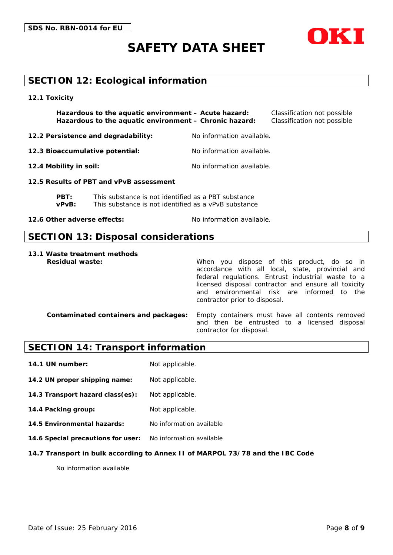

# **SECTION 12: Ecological information**

**12.1 Toxicity**

**Hazardous to the aquatic environment – Acute hazard:** Classification not possible **Hazardous to the aquatic environment – Chronic hazard:** Classification not possible

**12.2 Persistence and degradability:** No information available.

**12.3 Bioaccumulative potential:** No information available.

**12.4 Mobility in soil:** No information available.

**12.5 Results of PBT and vPvB assessment**

**PBT:** This substance is not identified as a PBT substance **vPvB:** This substance is not identified as a vPvB substance

**12.6 Other adverse effects:** No information available.

### **SECTION 13: Disposal considerations**

**13.1 Waste treatment methods**

**Residual waste:** When you dispose of this product, do so in accordance with all local, state, provincial and federal regulations. Entrust industrial waste to a licensed disposal contractor and ensure all toxicity and environmental risk are informed to the contractor prior to disposal.

**Contaminated containers and packages:** Empty containers must have all contents removed and then be entrusted to a licensed disposal contractor for disposal.

# **SECTION 14: Transport information**

**14.1 UN number:** Not applicable.

**14.2 UN proper shipping name:** Not applicable.

**14.3 Transport hazard class(es):** Not applicable.

**14.4 Packing group:** Not applicable.

**14.5 Environmental hazards:** No information available

**14.6 Special precautions for user:** No information available

#### **14.7 Transport in bulk according to Annex II of MARPOL 73/78 and the IBC Code**

No information available